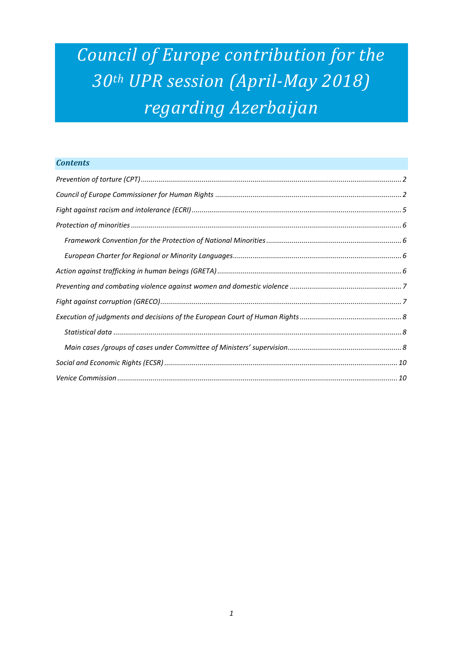# *Council of Europe contribution for the 30th UPR session (April-May 2018) regarding Azerbaijan*

# *Contents*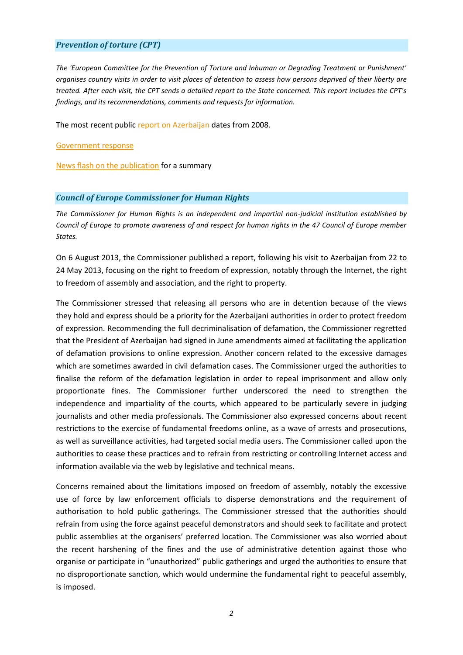## <span id="page-1-0"></span>*Prevention of torture (CPT)*

*The 'European Committee for the Prevention of Torture and Inhuman or Degrading Treatment or Punishment' organises country visits in order to visit places of detention to assess how persons deprived of their liberty are treated. After each visit, the CPT sends a detailed report to the State concerned. This report includes the CPT's findings, and its recommendations, comments and requests for information.*

The most recent public [report on Azerbaijan](https://rm.coe.int/16806852ef) dates from 2008.

[Government response](https://rm.coe.int/16806852ee)

[News flash on the publication](http://www.coe.int/en/web/cpt/-/council-of-europe-anti-torture-committee-publishes-report-on-azerbaijan) for a summary

#### <span id="page-1-1"></span>*Council of Europe Commissioner for Human Rights*

*The Commissioner for Human Rights is an independent and impartial non-judicial institution established by Council of Europe to promote awareness of and respect for human rights in the 47 Council of Europe member States.*

On 6 August 2013, the Commissioner published a [report,](https://rm.coe.int/16806db6dd) following his visit to Azerbaijan from 22 to 24 May 2013, focusing on the right to freedom of expression, notably through the Internet, the right to freedom of assembly and association, and the right to property.

The Commissioner stressed that releasing all persons who are in detention because of the views they hold and express should be a priority for the Azerbaijani authorities in order to protect freedom of expression. Recommending the full decriminalisation of defamation, the Commissioner regretted that the President of Azerbaijan had signed in June amendments aimed at facilitating the application of defamation provisions to online expression. Another concern related to the excessive damages which are sometimes awarded in civil defamation cases. The Commissioner urged the authorities to finalise the reform of the defamation legislation in order to repeal imprisonment and allow only proportionate fines. The Commissioner further underscored the need to strengthen the independence and impartiality of the courts, which appeared to be particularly severe in judging journalists and other media professionals. The Commissioner also expressed concerns about recent restrictions to the exercise of fundamental freedoms online, as a wave of arrests and prosecutions, as well as surveillance activities, had targeted social media users. The Commissioner called upon the authorities to cease these practices and to refrain from restricting or controlling Internet access and information available via the web by legislative and technical means.

Concerns remained about the limitations imposed on freedom of assembly, notably the excessive use of force by law enforcement officials to disperse demonstrations and the requirement of authorisation to hold public gatherings. The Commissioner stressed that the authorities should refrain from using the force against peaceful demonstrators and should seek to facilitate and protect public assemblies at the organisers' preferred location. The Commissioner was also worried about the recent harshening of the fines and the use of administrative detention against those who organise or participate in "unauthorized" public gatherings and urged the authorities to ensure that no disproportionate sanction, which would undermine the fundamental right to peaceful assembly, is imposed.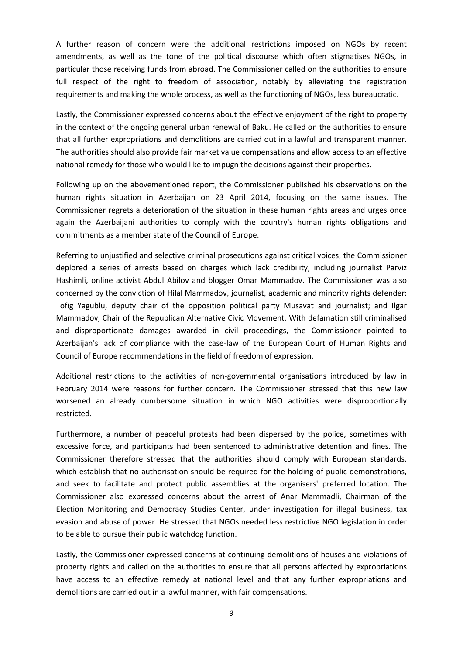A further reason of concern were the additional restrictions imposed on NGOs by recent amendments, as well as the tone of the political discourse which often stigmatises NGOs, in particular those receiving funds from abroad. The Commissioner called on the authorities to ensure full respect of the right to freedom of association, notably by alleviating the registration requirements and making the whole process, as well as the functioning of NGOs, less bureaucratic.

Lastly, the Commissioner expressed concerns about the effective enjoyment of the right to property in the context of the ongoing general urban renewal of Baku. He called on the authorities to ensure that all further expropriations and demolitions are carried out in a lawful and transparent manner. The authorities should also provide fair market value compensations and allow access to an effective national remedy for those who would like to impugn the decisions against their properties.

Following up on the abovementioned report, the Commissioner published his [observations](https://rm.coe.int/ref/CommDH(2014)10) on the human rights situation in Azerbaijan on 23 April 2014, focusing on the same issues. The Commissioner regrets a deterioration of the situation in these human rights areas and urges once again the Azerbaijani authorities to comply with the country's human rights obligations and commitments as a member state of the Council of Europe.

Referring to unjustified and selective criminal prosecutions against critical voices, the Commissioner deplored a series of arrests based on charges which lack credibility, including journalist Parviz Hashimli, online activist Abdul Abilov and blogger Omar Mammadov. The Commissioner was also concerned by the conviction of Hilal Mammadov, journalist, academic and minority rights defender; Tofig Yagublu, deputy chair of the opposition political party Musavat and journalist; and Ilgar Mammadov, Chair of the Republican Alternative Civic Movement. With defamation still criminalised and disproportionate damages awarded in civil proceedings, the Commissioner pointed to Azerbaijan's lack of compliance with the case-law of the European Court of Human Rights and Council of Europe recommendations in the field of freedom of expression.

Additional restrictions to the activities of non-governmental organisations introduced by law in February 2014 were reasons for further concern. The Commissioner stressed that this new law worsened an already cumbersome situation in which NGO activities were disproportionally restricted.

Furthermore, a number of peaceful protests had been dispersed by the police, sometimes with excessive force, and participants had been sentenced to administrative detention and fines. The Commissioner therefore stressed that the authorities should comply with European standards, which establish that no authorisation should be required for the holding of public demonstrations, and seek to facilitate and protect public assemblies at the organisers' preferred location. The Commissioner also expressed concerns about the arrest of Anar Mammadli, Chairman of the Election Monitoring and Democracy Studies Center, under investigation for illegal business, tax evasion and abuse of power. He stressed that NGOs needed less restrictive NGO legislation in order to be able to pursue their public watchdog function.

Lastly, the Commissioner expressed concerns at continuing demolitions of houses and violations of property rights and called on the authorities to ensure that all persons affected by expropriations have access to an effective remedy at national level and that any further expropriations and demolitions are carried out in a lawful manner, with fair compensations.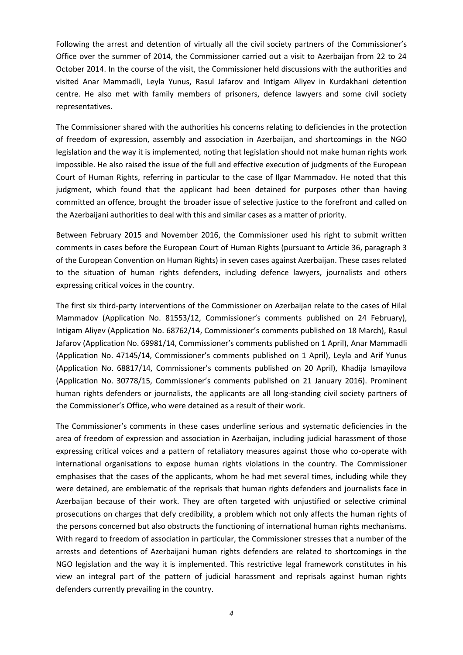Following the arrest and detention of virtually all the civil society partners of the Commissioner's Office over the summer of 2014, the Commissioner carried out a visit to Azerbaijan from 22 to 24 October 2014. In the course of the visit, the Commissioner held discussions with the authorities and visited Anar Mammadli, Leyla Yunus, Rasul Jafarov and Intigam Aliyev in Kurdakhani detention centre. He also met with family members of prisoners, defence lawyers and some civil society representatives.

The Commissioner shared with the authorities his [concerns](http://www.coe.int/en/web/commissioner/-/azerbaijan-stop-reprisals-against-human-rights-defenders) relating to deficiencies in the protection of freedom of expression, assembly and association in Azerbaijan, and shortcomings in the NGO legislation and the way it is implemented, noting that legislation should not make human rights work impossible. He also raised the issue of the full and effective execution of judgments of the European Court of Human Rights, referring in particular to the case of Ilgar Mammadov. He noted that this judgment, which found that the applicant had been detained for purposes other than having committed an offence, brought the broader issue of selective justice to the forefront and called on the Azerbaijani authorities to deal with this and similar cases as a matter of priority.

Between February 2015 and November 2016, the Commissioner used his right to submit written comments in cases before the European Court of Human Rights (pursuant to Article 36, paragraph 3 of the European Convention on Human Rights) in seven cases against Azerbaijan. These cases related to the situation of human rights defenders, including defence lawyers, journalists and others expressing critical voices in the country.

The first six third-party interventions of the Commissioner on Azerbaijan relate to the cases of [Hilal](https://rm.coe.int/ref/CommDH(2015)5)  [Mammadov](https://rm.coe.int/ref/CommDH(2015)5) (Application No. 81553/12, Commissioner's comments published on 24 February), [Intigam Aliyev](https://rm.coe.int/16806da609) (Application No. 68762/14, Commissioner's comments published on 18 March), [Rasul](https://rm.coe.int/ref/CommDH(2015)8)  [Jafarov](https://rm.coe.int/ref/CommDH(2015)8) (Application No. 69981/14, Commissioner's comments published on 1 April), [Anar Mammadli](https://rm.coe.int/ref/CommDH(2015)7) (Application No. 47145/14, Commissioner's comments published on 1 April), [Leyla and Arif Yunus](https://rm.coe.int/ref/CommDH(2015)10) (Application No. 68817/14, Commissioner's comments published on 20 April), [Khadija Ismayilova](https://rm.coe.int/ref/CommDH(2016)6) (Application No. 30778/15, Commissioner's comments published on 21 January 2016). Prominent human rights defenders or journalists, the applicants are all long-standing civil society partners of the Commissioner's Office, who were detained as a result of their work.

The Commissioner's comments in these cases underline serious and systematic deficiencies in the area of freedom of expression and association in Azerbaijan, including judicial harassment of those expressing critical voices and a pattern of retaliatory measures against those who co-operate with international organisations to expose human rights violations in the country. The Commissioner emphasises that the cases of the applicants, whom he had met several times, including while they were detained, are emblematic of the reprisals that human rights defenders and journalists face in Azerbaijan because of their work. They are often targeted with unjustified or selective criminal prosecutions on charges that defy credibility, a problem which not only affects the human rights of the persons concerned but also obstructs the functioning of international human rights mechanisms. With regard to freedom of association in particular, the Commissioner stresses that a number of the arrests and detentions of Azerbaijani human rights defenders are related to shortcomings in the NGO legislation and the way it is implemented. This restrictive legal framework constitutes in his view an integral part of the pattern of judicial harassment and reprisals against human rights defenders currently prevailing in the country.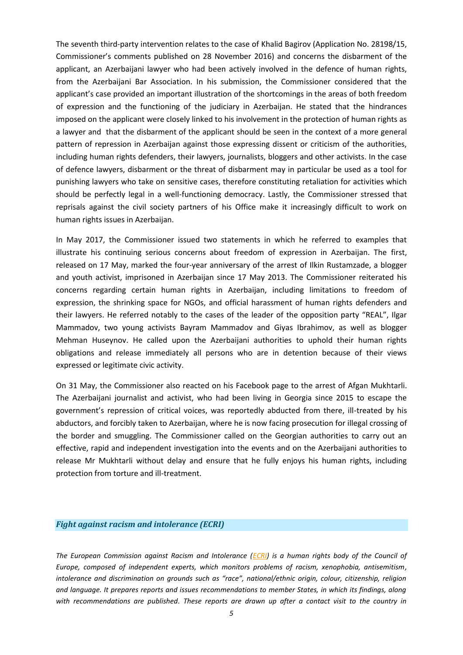The seventh third-party intervention relates to the case of [Khalid Bagirov](https://rm.coe.int/16806da74c) (Application No. 28198/15, Commissioner's comments published on 28 November 2016) and concerns the disbarment of the applicant, an Azerbaijani lawyer who had been actively involved in the defence of human rights, from the Azerbaijani Bar Association. In his submission, the Commissioner considered that the applicant's case provided an important illustration of the shortcomings in the areas of both freedom of expression and the functioning of the judiciary in Azerbaijan. He stated that the hindrances imposed on the applicant were closely linked to his involvement in the protection of human rights as a lawyer and that the disbarment of the applicant should be seen in the context of a more general pattern of repression in Azerbaijan against those expressing dissent or criticism of the authorities, including human rights defenders, their lawyers, journalists, bloggers and other activists. In the case of defence lawyers, disbarment or the threat of disbarment may in particular be used as a tool for punishing lawyers who take on sensitive cases, therefore constituting retaliation for activities which should be perfectly legal in a well-functioning democracy. Lastly, the Commissioner stressed that reprisals against the civil society partners of his Office make it increasingly difficult to work on human rights issues in Azerbaijan.

In May 2017, the Commissioner issued two statements in which he referred to examples that illustrate his continuing serious concerns about freedom of expression in Azerbaijan. The [first,](http://www.coe.int/en/web/commissioner/-/azerbaijan-should-release-all-persons-detained-because-of-their-views-expressed-or-legitimate-civic-activity) released on 17 May, marked the four-year anniversary of the arrest of Ilkin Rustamzade, a blogger and youth activist, imprisoned in Azerbaijan since 17 May 2013. The Commissioner reiterated his concerns regarding certain human rights in Azerbaijan, including limitations to freedom of expression, the shrinking space for NGOs, and official harassment of human rights defenders and their lawyers. He referred notably to the cases of the leader of the opposition party "REAL", Ilgar Mammadov, two young activists Bayram Mammadov and Giyas Ibrahimov, as well as blogger Mehman Huseynov. He called upon the Azerbaijani authorities to uphold their human rights obligations and release immediately all persons who are in detention because of their views expressed or legitimate civic activity.

On 31 May, the Commissioner also [reacted](https://www.facebook.com/CommissionerHR/?hc_ref=ARSYa4k5UWSEUHxwOFuXZzMZRvxgd4WnKHnZfMvbZxHw-HXfXer4OpKL5V-b0G4yN0s&fref=nf) on his Facebook page to the arrest of Afgan Mukhtarli. The Azerbaijani journalist and activist, who had been living in Georgia since 2015 to escape the government's repression of critical voices, was reportedly abducted from there, ill-treated by his abductors, and forcibly taken to Azerbaijan, where he is now facing prosecution for illegal crossing of the border and smuggling. The Commissioner called on the Georgian authorities to carry out an effective, rapid and independent investigation into the events and on the Azerbaijani authorities to release Mr Mukhtarli without delay and ensure that he fully enjoys his human rights, including protection from torture and ill-treatment.

#### <span id="page-4-0"></span>*Fight against racism and intolerance (ECRI)*

*The European Commission against Racism and Intolerance [\(ECRI\)](http://www.coe.int/t/dghl/monitoring/ecri/default_en.asp) is a human rights body of the Council of Europe, composed of independent experts, which monitors problems of racism, xenophobia, antisemitism, intolerance and discrimination on grounds such as "race", national/ethnic origin, colour, citizenship, religion and language. It prepares reports and issues recommendations to member States, in which its findings, along with recommendations are published. These reports are drawn up after a contact visit to the country in*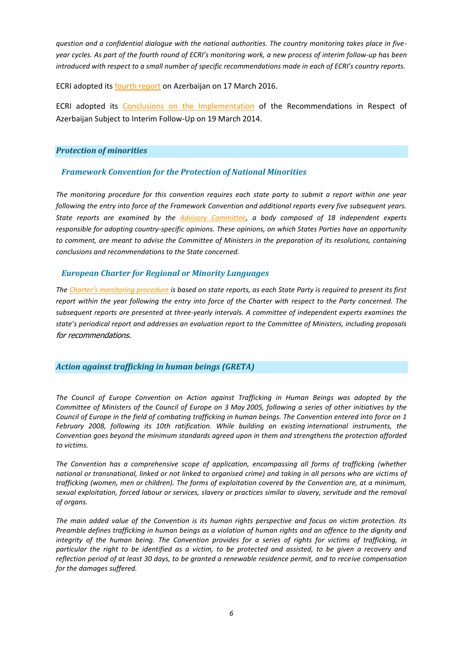*question and a confidential dialogue with the national authorities. The country monitoring takes place in fiveyear cycles. As part of the fourth round of ECRI's monitoring work, a new process of interim follow-up has been introduced with respect to a small number of specific recommendations made in each of ECRI's country reports.*

ECRI adopted it[s fourth report](http://www.coe.int/t/dghl/monitoring/ecri/Country-by-country/Azerbaijan/AZE-CbC-V-2016-017-ENG.pdf) on Azerbaijan on 17 March 2016.

ECRI adopted its [Conclusions on the Implementation](http://www.coe.int/t/dghl/monitoring/ecri/Country-by-country/Azerbaijan/AZE-CbC-V-2016-017-ENG.pdf) of the Recommendations in Respect of Azerbaijan Subject to Interim Follow-Up on 19 March 2014.

# <span id="page-5-0"></span>*Protection of minorities*

# <span id="page-5-1"></span>*Framework Convention for the Protection of National Minorities*

*The monitoring procedure for this convention requires each state party to submit a report within one year following the entry into force of the Framework Convention and additional reports every five subsequent years. State reports are examined by the [Advisory Committee,](http://www.coe.int/en/web/minorities/monitoring) a body composed of 18 independent experts responsible for adopting country-specific opinions. These opinions, on which States Parties have an opportunity to comment, are meant to advise the Committee of Ministers in the preparation of its resolutions, containing conclusions and recommendations to the State concerned.* 

# <span id="page-5-2"></span>*European Charter for Regional or Minority Languages*

*The [Charter's monitoring procedure](http://www.coe.int/t/dg4/education/minlang/Report/) is based on state reports, as each State Party is required to present its first report within the year following the entry into force of the Charter with respect to the Party concerned. The subsequent reports are presented at three-yearly intervals. A committee of independent experts examines the state's periodical report and addresses an evaluation report to the Committee of Ministers, including proposals*  for recommendations.

# <span id="page-5-3"></span>*Action against trafficking in human beings (GRETA)*

*The Council of Europe Convention on Action against Trafficking in Human Beings was adopted by the Committee of Ministers of the Council of Europe on 3 May 2005, following a series of other initiatives by the Council of Europe in the field of combating trafficking in human beings. The Convention entered into force on 1 February 2008, following its 10th ratification. While building on existing international instruments, the Convention goes beyond the minimum standards agreed upon in them and strengthens the protection afforded to victims.*

*The Convention has a comprehensive scope of application, encompassing all forms of trafficking (whether national or transnational, linked or not linked to organised crime) and taking in all persons who are victims of trafficking (women, men or children). The forms of exploitation covered by the Convention are, at a minimum, sexual exploitation, forced labour or services, slavery or practices similar to slavery, servitude and the removal of organs.*

*The main added value of the Convention is its human rights perspective and focus on victim protection. Its Preamble defines trafficking in human beings as a violation of human rights and an offence to the dignity and integrity of the human being. The Convention provides for a series of rights for victims of trafficking, in particular the right to be identified as a victim, to be protected and assisted, to be given a recovery and reflection period of at least 30 days, to be granted a renewable residence permit, and to receive compensation for the damages suffered.*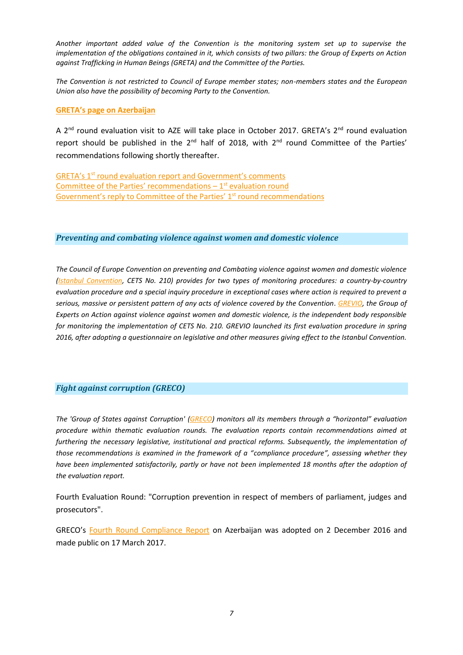*Another important added value of the Convention is the monitoring system set up to supervise the implementation of the obligations contained in it, which consists of two pillars: the Group of Experts on Action against Trafficking in Human Beings (GRETA) and the Committee of the Parties.*

*The Convention is not restricted to Council of Europe member states; non-members states and the European Union also have the possibility of becoming Party to the Convention.*

### **[GRETA's page on Azerbaijan](http://www.coe.int/en/web/anti-human-trafficking/azerbaijan)**

A  $2^{nd}$  round evaluation visit to AZE will take place in October 2017. GRETA's  $2^{nd}$  round evaluation report should be published in the  $2^{nd}$  half of 2018, with  $2^{nd}$  round Committee of the Parties' recommendations following shortly thereafter.

GRETA's 1st [round evaluation report and Government's comments](http://rm.coe.int/CoERMPublicCommonSearchServices/DisplayDCTMContent?documentId=0900001680630ceb) Committee of the Parties' recommendations - 1<sup>st</sup> evaluation round [Government's reply to Committee of the Parties' 1](http://rm.coe.int/CoERMPublicCommonSearchServices/DisplayDCTMContent?documentId=09000016806c0681)<sup>st</sup> round recommendations

# <span id="page-6-0"></span>*Preventing and combating violence against women and domestic violence*

*The Council of Europe Convention on preventing and Combating violence against women and domestic violence [\(Istanbul Convention,](http://www.coe.int/en/web/istanbul-convention/evaluation) CETS No. 210) provides for two types of monitoring procedures: a country-by-country evaluation procedure and a special inquiry procedure in exceptional cases where action is required to prevent a serious, massive or persistent pattern of any acts of violence covered by the Convention. [GREVIO,](http://www.coe.int/en/web/istanbul-convention/grevio) the Group of Experts on Action against violence against women and domestic violence, is the independent body responsible for monitoring the implementation of CETS No. 210. GREVIO launched its first evaluation procedure in spring 2016, after adopting a questionnaire on legislative and other measures giving effect to the Istanbul Convention.*

# <span id="page-6-1"></span>*Fight against corruption (GRECO)*

*The 'Group of States against Corruption' [\(GRECO\)](http://www.coe.int/t/dghl/monitoring/greco/default_en.asp) monitors all its members through a "horizontal" evaluation procedure within thematic evaluation rounds. The evaluation reports contain recommendations aimed at furthering the necessary legislative, institutional and practical reforms. Subsequently, the implementation of those recommendations is examined in the framework of a "compliance procedure", assessing whether they have been implemented satisfactorily, partly or have not been implemented 18 months after the adoption of the evaluation report.*

Fourth Evaluation Round: "Corruption prevention in respect of members of parliament, judges and prosecutors".

GRECO's [Fourth Round Compliance](https://rm.coe.int/16806fe9f2) Report on Azerbaijan was adopted on 2 December 2016 and made public on 17 March 2017.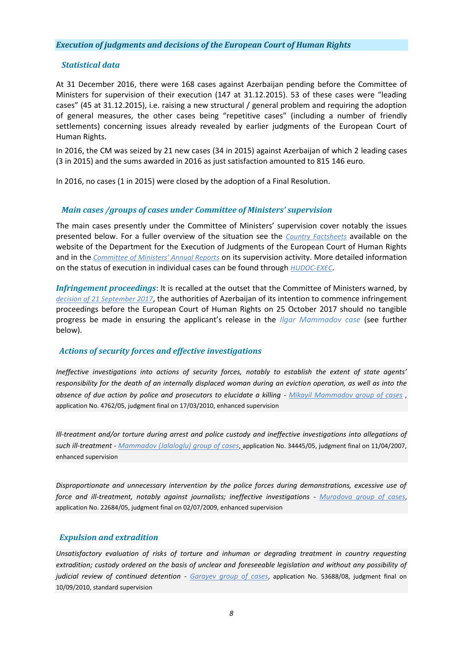# <span id="page-7-0"></span>*Execution of judgments and decisions of the European Court of Human Rights*

# <span id="page-7-1"></span>*Statistical data*

At 31 December 2016, there were 168 cases against Azerbaijan pending before the Committee of Ministers for supervision of their execution (147 at 31.12.2015). 53 of these cases were "leading cases" (45 at 31.12.2015), i.e. raising a new structural / general problem and requiring the adoption of general measures, the other cases being "repetitive cases" (including a number of friendly settlements) concerning issues already revealed by earlier judgments of the European Court of Human Rights.

In 2016, the CM was seized by 21 new cases (34 in 2015) against Azerbaijan of which 2 leading cases (3 in 2015) and the sums awarded in 2016 as just satisfaction amounted to 815 146 euro.

In 2016, no cases (1 in 2015) were closed by the adoption of a Final Resolution.

## <span id="page-7-2"></span>*Main cases /groups of cases under Committee of Ministers' supervision*

The main cases presently under the Committee of Ministers' supervision cover notably the issues presented below. For a fuller overview of the situation see the *[Country Factsheets](http://www.coe.int/en/web/execution/country-factsheets)* available on the website of the Department for the Execution of Judgments of the European Court of Human Rights and in the *[Committee of Ministers' Annual Reports](http://www.coe.int/en/web/execution/annual-reports)* on its supervision activity. More detailed information on the status of execution in individual cases can be found through *[HUDOC-EXEC](http://hudoc.exec.coe.int/eng#{%22EXECDocumentTypeCollection%22:[%22CEC%22]})*.

*Infringement proceedings*: It is recalled at the outset that the Committee of Ministers warned, b[y](https://search.coe.int/cm/Pages/result_details.aspx?ObjectID=0900001680749f3b) *[decision of 21 September 2017](https://search.coe.int/cm/Pages/result_details.aspx?ObjectID=0900001680749f3b)*, the authorities of Azerbaijan of its intention to commence infringement proceedings before the European Court of Human Rights on 25 October 2017 should no tangible progress be made in ensuring the applicant's release in the *Ilgar Mammadov case* (see further below).

# *Actions of security forces and effective investigations*

*Ineffective investigations into actions of security forces, notably to establish the extent of state agents' responsibility for the death of an internally displaced woman during an eviction operation, as well as into the absence of due action by police and prosecutors to elucidate a killing - [Mikayil Mammadov group of cases](http://hudoc.exec.coe.int/eng?i=004-1711)* , application No. 4762/05, judgment final on 17/03/2010, enhanced supervision

*Ill-treatment and/or torture during arrest and police custody and ineffective investigations into allegations of such ill-treatment - [Mammadov \(Jalaloglu\) group of cases](http://hudoc.exec.coe.int/eng?i=004-1759)*, application No. 34445/05, judgment final on 11/04/2007, enhanced supervision

*Disproportionate and unnecessary intervention by the police forces during demonstrations, excessive use of force and ill-treatment, notably against journalists; ineffective investigations - [Muradova group of cases](http://hudoc.exec.coe.int/eng?i=004-1761)*, application No. 22684/05, judgment final on 02/07/2009, enhanced supervision

# *Expulsion and extradition*

*Unsatisfactory evaluation of risks of torture and inhuman or degrading treatment in country requesting extradition; custody ordered on the basis of unclear and foreseeable legislation and without any possibility of judicial review of continued detention - [Garayev group of cases](http://hudoc.exec.coe.int/eng?i=004-1635)*, application No. 53688/08, judgment final on 10/09/2010, standard supervision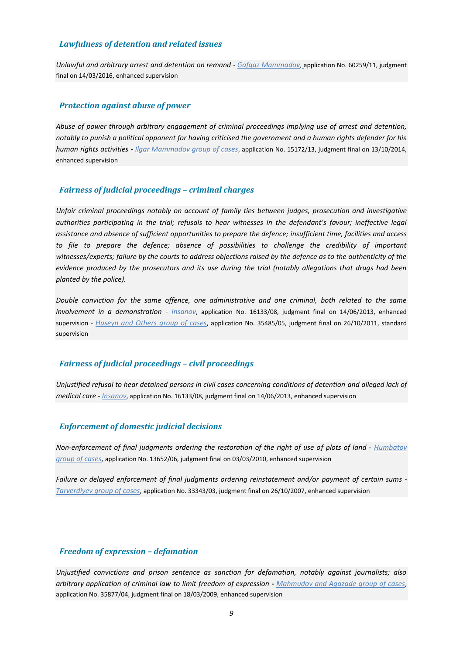## *Lawfulness of detention and related issues*

*Unlawful and arbitrary arrest and detention on remand - [Gafgaz Mammadov](http://hudoc.exec.coe.int/eng?i=004-1743)*, application No. 60259/11, judgment final on 14/03/2016, enhanced supervision

#### *Protection against abuse of power*

*Abuse of power through arbitrary engagement of criminal proceedings implying use of arrest and detention, notably to punish a political opponent for having criticised the government and a human rights defender for his human rights activities - [Ilgar Mammadov group of cases](http://hudoc.exec.coe.int/eng?i=004-1866)*, application No. 15172/13, judgment final on 13/10/2014, enhanced supervision

#### *Fairness of judicial proceedings – criminal charges*

*Unfair criminal proceedings notably on account of family ties between judges, prosecution and investigative authorities participating in the trial; refusals to hear witnesses in the defendant's favour; ineffective legal assistance and absence of sufficient opportunities to prepare the defence; insufficient time, facilities and access to file to prepare the defence; absence of possibilities to challenge the credibility of important witnesses/experts; failure by the courts to address objections raised by the defence as to the authenticity of the evidence produced by the prosecutors and its use during the trial (notably allegations that drugs had been planted by the police).*

*Double conviction for the same offence, one administrative and one criminal, both related to the same involvement in a demonstration - [Insanov](http://hudoc.exec.coe.int/eng?i=004-1801)*, application No. 16133/08, judgment final on 14/06/2013, enhanced supervision - *[Huseyn and Others group of cases](http://hudoc.exec.coe.int/eng?i=004-1822)*, application No. 35485/05, judgment final on 26/10/2011, standard supervision

# *Fairness of judicial proceedings – civil proceedings*

*Unjustified refusal to hear detained persons in civil cases concerning conditions of detention and alleged lack of medical care - [Insanov](http://hudoc.exec.coe.int/eng?i=004-1801)*, application No. 16133/08, judgment final on 14/06/2013, enhanced supervision

#### *Enforcement of domestic judicial decisions*

*Non-enforcement of final judgments ordering the restoration of the right of use of plots of land - [Humbatov](http://hudoc.exec.coe.int/eng?i=004-1898)  [group of cases](http://hudoc.exec.coe.int/eng?i=004-1898)*, application No. 13652/06, judgment final on 03/03/2010, enhanced supervision

*Failure or delayed enforcement of final judgments ordering reinstatement and/or payment of certain sums - [Tarverdiyev group of cases](http://hudoc.exec.coe.int/eng?i=004-1757)*, application No. 33343/03, judgment final on 26/10/2007, enhanced supervision

#### *Freedom of expression – defamation*

*Unjustified convictions and prison sentence as sanction for defamation, notably against journalists; also arbitrary application of criminal law to limit freedom of expression - [Mahmudov and Agazade group of cases](http://hudoc.exec.coe.int/eng?i=004-1709)*, application No. 35877/04, judgment final on 18/03/2009, enhanced supervision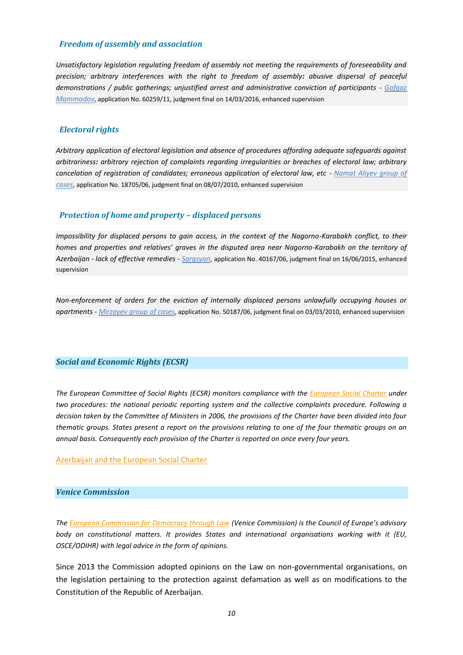### *Freedom of assembly and association*

*Unsatisfactory legislation regulating freedom of assembly not meeting the requirements of foreseeability and precision; arbitrary interferences with the right to freedom of assembly: abusive dispersal of peaceful demonstrations / public gatherings; unjustified arrest and administrative conviction of participants - [Gafgaz](http://hudoc.exec.coe.int/eng?i=004-1743)  [Mammadov](http://hudoc.exec.coe.int/eng?i=004-1743)*, application No. 60259/11, judgment final on 14/03/2016, enhanced supervision

#### *Electoral rights*

*Arbitrary application of electoral legislation and absence of procedures affording adequate safeguards against arbitrariness: arbitrary rejection of complaints regarding irregularities or breaches of electoral law; arbitrary cancelation of registration of candidates; erroneous application of electoral law, etc - [Namat Aliyev group of](http://hudoc.exec.coe.int/eng?i=004-1773)  [cases](http://hudoc.exec.coe.int/eng?i=004-1773)*, application No. 18705/06, judgment final on 08/07/2010, enhanced supervision

#### *Protection of home and property – displaced persons*

*Impossibility for displaced persons to gain access, in the context of the Nagorno-Karabakh conflict, to their homes and properties and relatives' graves in the disputed area near Nagorno-Karabakh on the territory of Azerbaijan - lack of effective remedies - [Sargsyan](http://hudoc.exec.coe.int/eng?i=004-1717)*, application No. 40167/06, judgment final on 16/06/2015, enhanced supervision

*Non-enforcement of orders for the eviction of internally displaced persons unlawfully occupying houses or apartments - [Mirzayev group of cases](http://hudoc.exec.coe.int/eng?i=004-1719)*, application No. 50187/06, judgment final on 03/03/2010, enhanced supervision

#### <span id="page-9-0"></span>*Social and Economic Rights (ECSR)*

*The European Committee of Social Rights (ECSR) monitors compliance with the [European Social Charter](http://www.coe.int/en/web/turin-european-social-charter/home) under two procedures: the national periodic reporting system and the collective complaints procedure. Following a decision taken by the Committee of Ministers in 2006, the provisions of the Charter have been divided into four thematic groups. States present a report on the provisions relating to one of the four thematic groups on an annual basis. Consequently each provision of the Charter is reported on once every four years.*

#### [Azerbaijan and the European Social Charter](https://rm.coe.int/pdf/1680492806)

# <span id="page-9-1"></span>*Venice Commission*

*The [European Commission for Democracy through Law](http://www.venice.coe.int/WebForms/pages/?p=01_Presentation&lang=EN) (Venice Commission) is the Council of Europe's advisory body on constitutional matters. It provides States and international organisations working with it (EU, OSCE/ODIHR) with legal advice in the form of opinions.* 

Since 2013 the Commission adopted opinions on the Law on non-governmental organisations, on the legislation pertaining to the protection against defamation as well as on modifications to the Constitution of the Republic of Azerbaijan.